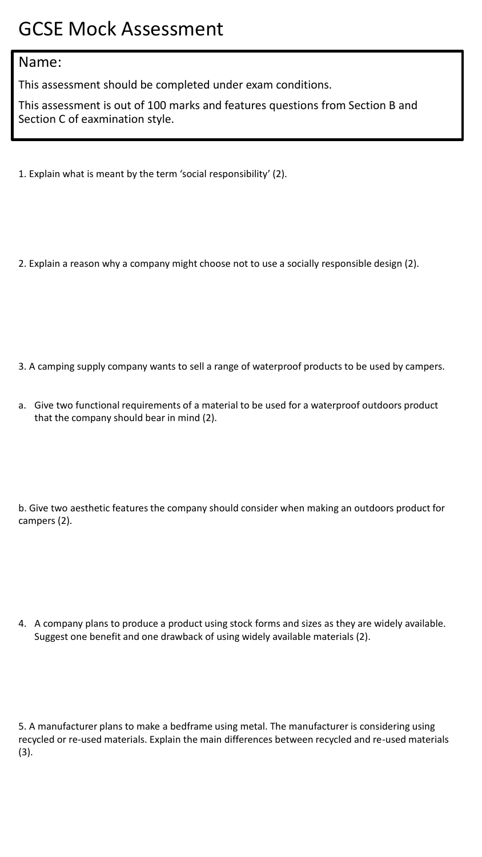## GCSE Mock Assessment

## Name:

This assessment should be completed under exam conditions.

This assessment is out of 100 marks and features questions from Section B and Section C of eaxmination style.

- 1. Explain what is meant by the term 'social responsibility' (2).
- 2. Explain a reason why a company might choose not to use a socially responsible design (2).

- 3. A camping supply company wants to sell a range of waterproof products to be used by campers.
- a. Give two functional requirements of a material to be used for a waterproof outdoors product that the company should bear in mind (2).

b. Give two aesthetic features the company should consider when making an outdoors product for campers (2).

4. A company plans to produce a product using stock forms and sizes as they are widely available. Suggest one benefit and one drawback of using widely available materials (2).

5. A manufacturer plans to make a bedframe using metal. The manufacturer is considering using recycled or re-used materials. Explain the main differences between recycled and re-used materials (3).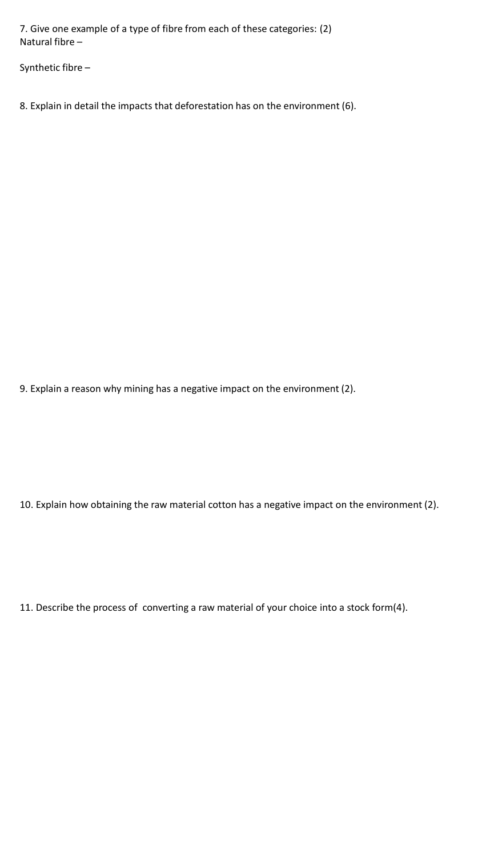7. Give one example of a type of fibre from each of these categories: (2) Natural fibre –

Synthetic fibre –

8. Explain in detail the impacts that deforestation has on the environment (6).

9. Explain a reason why mining has a negative impact on the environment (2).

10. Explain how obtaining the raw material cotton has a negative impact on the environment (2).

11. Describe the process of converting a raw material of your choice into a stock form(4).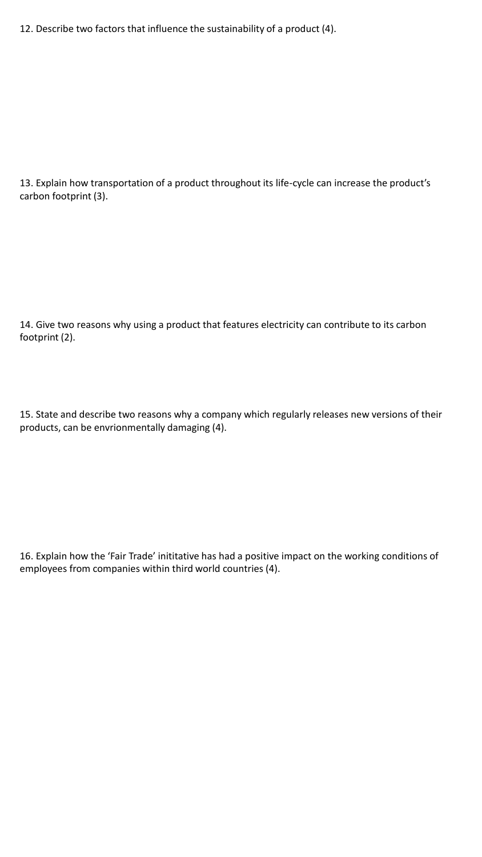12. Describe two factors that influence the sustainability of a product (4).

13. Explain how transportation of a product throughout its life-cycle can increase the product's carbon footprint (3).

14. Give two reasons why using a product that features electricity can contribute to its carbon footprint (2).

15. State and describe two reasons why a company which regularly releases new versions of their products, can be envrionmentally damaging (4).

16. Explain how the 'Fair Trade' inititative has had a positive impact on the working conditions of employees from companies within third world countries (4).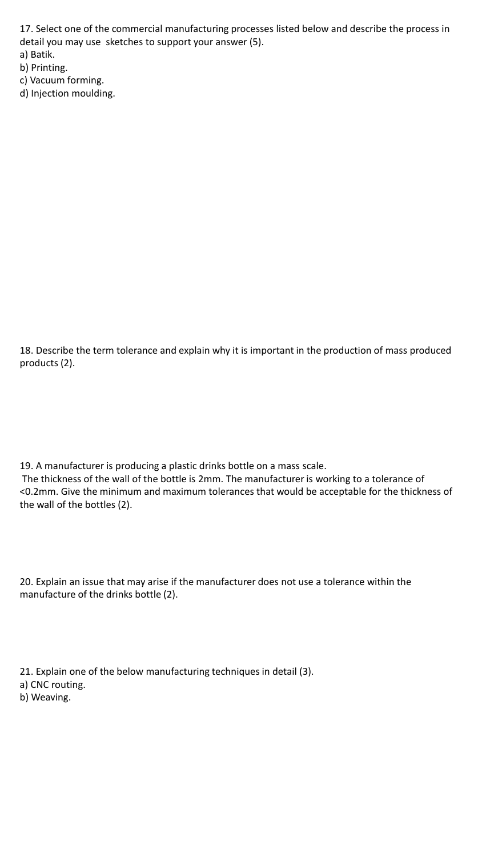17. Select one of the commercial manufacturing processes listed below and describe the process in detail you may use sketches to support your answer (5). a) Batik.

b) Printing.

c) Vacuum forming.

d) Injection moulding.

18. Describe the term tolerance and explain why it is important in the production of mass produced products (2).

19. A manufacturer is producing a plastic drinks bottle on a mass scale. The thickness of the wall of the bottle is 2mm. The manufacturer is working to a tolerance of <0.2mm. Give the minimum and maximum tolerances that would be acceptable for the thickness of the wall of the bottles (2).

20. Explain an issue that may arise if the manufacturer does not use a tolerance within the manufacture of the drinks bottle (2).

21. Explain one of the below manufacturing techniques in detail (3). a) CNC routing. b) Weaving.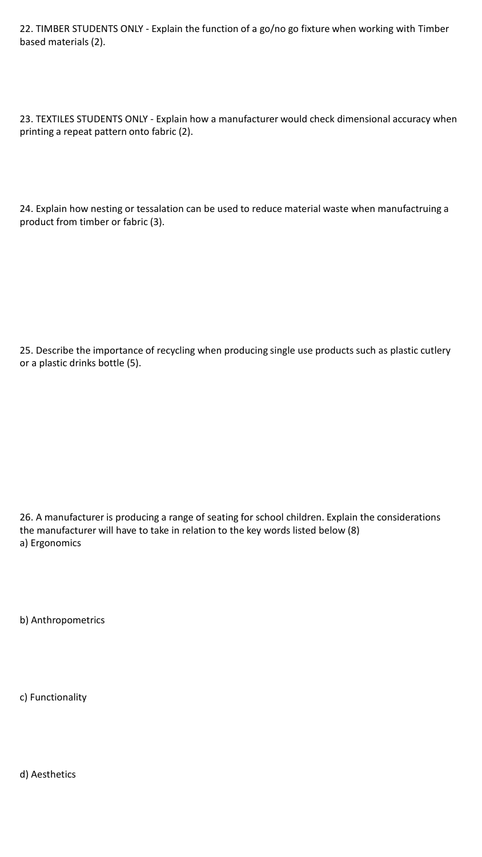22. TIMBER STUDENTS ONLY - Explain the function of a go/no go fixture when working with Timber based materials (2).

23. TEXTILES STUDENTS ONLY - Explain how a manufacturer would check dimensional accuracy when printing a repeat pattern onto fabric (2).

24. Explain how nesting or tessalation can be used to reduce material waste when manufactruing a product from timber or fabric (3).

25. Describe the importance of recycling when producing single use products such as plastic cutlery or a plastic drinks bottle (5).

26. A manufacturer is producing a range of seating for school children. Explain the considerations the manufacturer will have to take in relation to the key words listed below (8) a) Ergonomics

b) Anthropometrics

c) Functionality

d) Aesthetics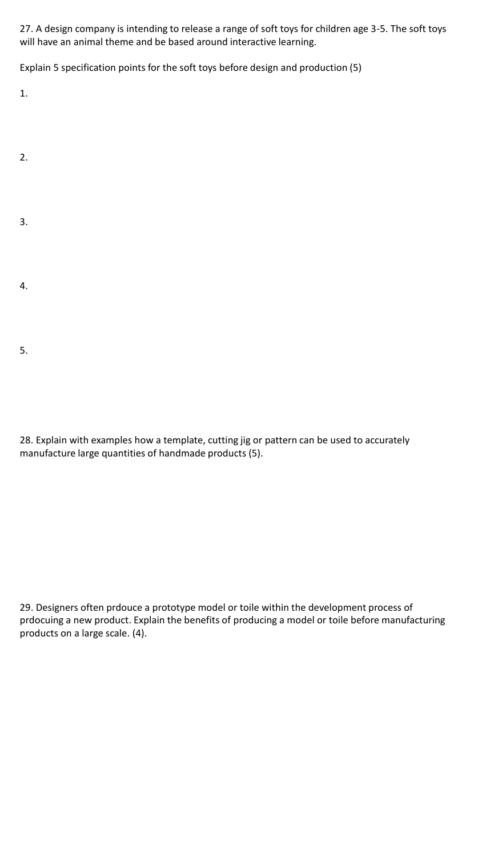27. A design company is intending to release a range of soft toys for children age 3-5. The soft toys will have an animal theme and be based around interactive learning.

Explain 5 specification points for the soft toys before design and production (5)

1.

- 2.
- 3.
- 4.
- 5.

28. Explain with examples how a template, cutting jig or pattern can be used to accurately manufacture large quantities of handmade products (5).

29. Designers often prdouce a prototype model or toile within the development process of prdocuing a new product. Explain the benefits of producing a model or toile before manufacturing products on a large scale. (4).